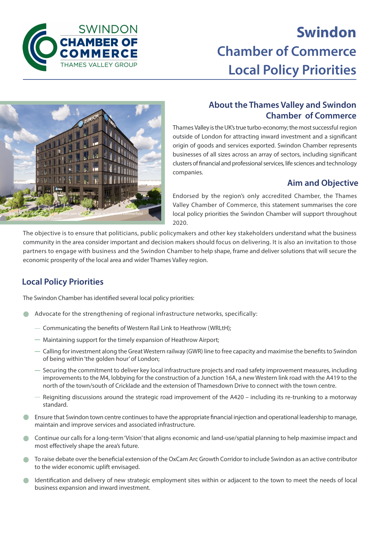

# **Swindon Chamber of Commerce Local Policy Priorities**



#### **About the Thames Valley and Swindon Chamber of Commerce**

Thames Valley is the UK's true turbo-economy; the most successful region outside of London for attracting inward investment and a significant origin of goods and services exported. Swindon Chamber represents businesses of all sizes across an array of sectors, including significant clusters of financial and professional services, life sciences and technology companies.

#### **Aim and Objective**

Endorsed by the region's only accredited Chamber, the Thames Valley Chamber of Commerce, this statement summarises the core local policy priorities the Swindon Chamber will support throughout 2020.

The objective is to ensure that politicians, public policymakers and other key stakeholders understand what the business community in the area consider important and decision makers should focus on delivering. It is also an invitation to those partners to engage with business and the Swindon Chamber to help shape, frame and deliver solutions that will secure the economic prosperity of the local area and wider Thames Valley region.

### **Local Policy Priorities**

The Swindon Chamber has identified several local policy priorities:

- Advocate for the strengthening of regional infrastructure networks, specifically:
	- Communicating the benefits of Western Rail Link to Heathrow (WRLtH);
	- Maintaining support for the timely expansion of Heathrow Airport;
	- Calling for investment along the Great Western railway (GWR) line to free capacity and maximise the benefits to Swindon of being within 'the golden hour' of London;
	- $-$  Securing the commitment to deliver key local infrastructure projects and road safety improvement measures, including improvements to the M4, lobbying for the construction of a Junction 16A, a new Western link road with the A419 to the north of the town/south of Cricklade and the extension of Thamesdown Drive to connect with the town centre.
	- $-$  Reigniting discussions around the strategic road improvement of the A420 including its re-trunking to a motorway standard.
- Ensure that Swindon town centre continues to have the appropriate financial injection and operational leadership to manage, maintain and improve services and associated infrastructure.
- Continue our calls for a long-term 'Vision' that aligns economic and land-use/spatial planning to help maximise impact and most effectively shape the area's future.
- To raise debate over the beneficial extension of the OxCam Arc Growth Corridor to include Swindon as an active contributor to the wider economic uplift envisaged.
- Identification and delivery of new strategic employment sites within or adjacent to the town to meet the needs of local business expansion and inward investment.